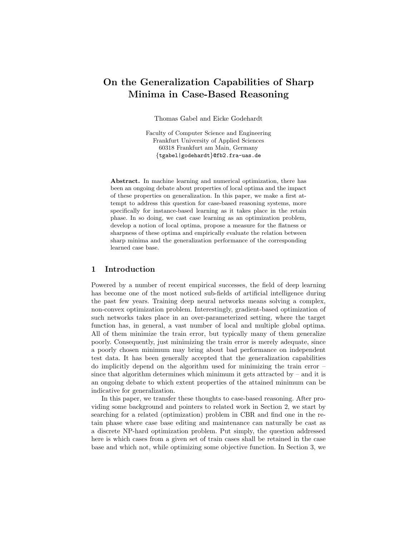# On the Generalization Capabilities of Sharp Minima in Case-Based Reasoning

Thomas Gabel and Eicke Godehardt

Faculty of Computer Science and Engineering Frankfurt University of Applied Sciences 60318 Frankfurt am Main, Germany {tgabel|godehardt}@fb2.fra-uas.de

Abstract. In machine learning and numerical optimization, there has been an ongoing debate about properties of local optima and the impact of these properties on generalization. In this paper, we make a first attempt to address this question for case-based reasoning systems, more specifically for instance-based learning as it takes place in the retain phase. In so doing, we cast case learning as an optimization problem, develop a notion of local optima, propose a measure for the flatness or sharpness of these optima and empirically evaluate the relation between sharp minima and the generalization performance of the corresponding learned case base.

## 1 Introduction

Powered by a number of recent empirical successes, the field of deep learning has become one of the most noticed sub-fields of artificial intelligence during the past few years. Training deep neural networks means solving a complex, non-convex optimization problem. Interestingly, gradient-based optimization of such networks takes place in an over-parameterized setting, where the target function has, in general, a vast number of local and multiple global optima. All of them minimize the train error, but typically many of them generalize poorly. Consequently, just minimizing the train error is merely adequate, since a poorly chosen minimum may bring about bad performance on independent test data. It has been generally accepted that the generalization capabilities do implicitly depend on the algorithm used for minimizing the train error – since that algorithm determines which minimum it gets attracted by  $-$  and it is an ongoing debate to which extent properties of the attained minimum can be indicative for generalization.

In this paper, we transfer these thoughts to case-based reasoning. After providing some background and pointers to related work in Section 2, we start by searching for a related (optimization) problem in CBR and find one in the retain phase where case base editing and maintenance can naturally be cast as a discrete NP-hard optimization problem. Put simply, the question addressed here is which cases from a given set of train cases shall be retained in the case base and which not, while optimizing some objective function. In Section 3, we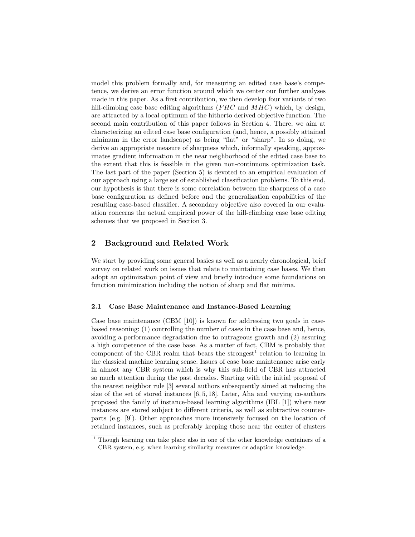model this problem formally and, for measuring an edited case base's competence, we derive an error function around which we center our further analyses made in this paper. As a first contribution, we then develop four variants of two hill-climbing case base editing algorithms  $(FHC)$  and  $MHC)$  which, by design, are attracted by a local optimum of the hitherto derived objective function. The second main contribution of this paper follows in Section 4. There, we aim at characterizing an edited case base configuration (and, hence, a possibly attained minimum in the error landscape) as being "flat" or "sharp". In so doing, we derive an appropriate measure of sharpness which, informally speaking, approximates gradient information in the near neighborhood of the edited case base to the extent that this is feasible in the given non-continuous optimization task. The last part of the paper (Section 5) is devoted to an empirical evaluation of our approach using a large set of established classification problems. To this end, our hypothesis is that there is some correlation between the sharpness of a case base configuration as defined before and the generalization capabilities of the resulting case-based classifier. A secondary objective also covered in our evaluation concerns the actual empirical power of the hill-climbing case base editing schemes that we proposed in Section 3.

# 2 Background and Related Work

We start by providing some general basics as well as a nearly chronological, brief survey on related work on issues that relate to maintaining case bases. We then adopt an optimization point of view and briefly introduce some foundations on function minimization including the notion of sharp and flat minima.

#### 2.1 Case Base Maintenance and Instance-Based Learning

Case base maintenance (CBM [10]) is known for addressing two goals in casebased reasoning: (1) controlling the number of cases in the case base and, hence, avoiding a performance degradation due to outrageous growth and (2) assuring a high competence of the case base. As a matter of fact, CBM is probably that component of the CBR realm that bears the strongest<sup>1</sup> relation to learning in the classical machine learning sense. Issues of case base maintenance arise early in almost any CBR system which is why this sub-field of CBR has attracted so much attention during the past decades. Starting with the initial proposal of the nearest neighbor rule [3] several authors subsequently aimed at reducing the size of the set of stored instances  $[6, 5, 18]$ . Later, Aha and varying co-authors proposed the family of instance-based learning algorithms (IBL [1]) where new instances are stored subject to different criteria, as well as subtractive counterparts (e.g. [9]). Other approaches more intensively focused on the location of retained instances, such as preferably keeping those near the center of clusters

<sup>1</sup> Though learning can take place also in one of the other knowledge containers of a CBR system, e.g. when learning similarity measures or adaption knowledge.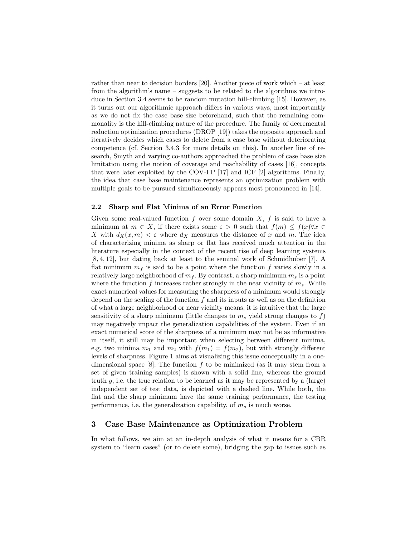rather than near to decision borders [20]. Another piece of work which – at least from the algorithm's name – suggests to be related to the algorithms we introduce in Section 3.4 seems to be random mutation hill-climbing [15]. However, as it turns out our algorithmic approach differs in various ways, most importantly as we do not fix the case base size beforehand, such that the remaining commonality is the hill-climbing nature of the procedure. The family of decremental reduction optimization procedures (DROP [19]) takes the opposite approach and iteratively decides which cases to delete from a case base without deteriorating competence (cf. Section 3.4.3 for more details on this). In another line of research, Smyth and varying co-authors approached the problem of case base size limitation using the notion of coverage and reachability of cases [16], concepts that were later exploited by the COV-FP [17] and ICF [2] algorithms. Finally, the idea that case base maintenance represents an optimization problem with multiple goals to be pursued simultaneously appears most pronounced in [14].

#### 2.2 Sharp and Flat Minima of an Error Function

Given some real-valued function  $f$  over some domain  $X, f$  is said to have a minimum at  $m \in X$ , if there exists some  $\varepsilon > 0$  such that  $f(m) \leq f(x)\forall x \in$ X with  $d_X(x, m) < \varepsilon$  where  $d_X$  measures the distance of x and m. The idea of characterizing minima as sharp or flat has received much attention in the literature especially in the context of the recent rise of deep learning systems [8, 4, 12], but dating back at least to the seminal work of Schmidhuber [7]. A flat minimum  $m_f$  is said to be a point where the function f varies slowly in a relatively large neighborhood of  $m_f$ . By contrast, a sharp minimum  $m_s$  is a point where the function f increases rather strongly in the near vicinity of  $m_s$ . While exact numerical values for measuring the sharpness of a minimum would strongly depend on the scaling of the function  $f$  and its inputs as well as on the definition of what a large neighborhood or near vicinity means, it is intuitive that the large sensitivity of a sharp minimum (little changes to  $m_s$  yield strong changes to f) may negatively impact the generalization capabilities of the system. Even if an exact numerical score of the sharpness of a minimum may not be as informative in itself, it still may be important when selecting between different minima, e.g. two minima  $m_1$  and  $m_2$  with  $f(m_1) = f(m_2)$ , but with strongly different levels of sharpness. Figure 1 aims at visualizing this issue conceptually in a onedimensional space  $[8]$ : The function f to be minimized (as it may stem from a set of given training samples) is shown with a solid line, whereas the ground truth g, i.e. the true relation to be learned as it may be represented by a (large) independent set of test data, is depicted with a dashed line. While both, the flat and the sharp minimum have the same training performance, the testing performance, i.e. the generalization capability, of  $m_s$  is much worse.

# 3 Case Base Maintenance as Optimization Problem

In what follows, we aim at an in-depth analysis of what it means for a CBR system to "learn cases" (or to delete some), bridging the gap to issues such as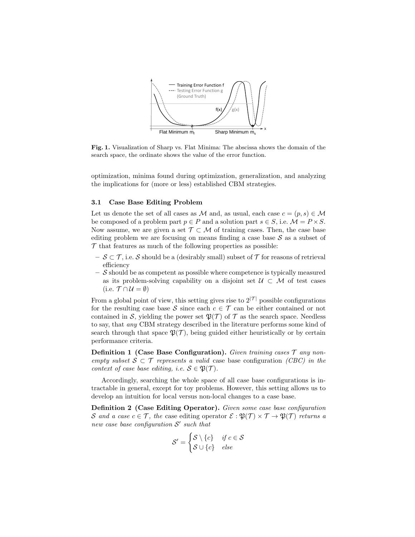

Fig. 1. Visualization of Sharp vs. Flat Minima: The abscissa shows the domain of the search space, the ordinate shows the value of the error function.

optimization, minima found during optimization, generalization, and analyzing the implications for (more or less) established CBM strategies.

#### 3.1 Case Base Editing Problem

Let us denote the set of all cases as M and, as usual, each case  $c = (p, s) \in M$ be composed of a problem part  $p \in P$  and a solution part  $s \in S$ , i.e.  $\mathcal{M} = P \times S$ . Now assume, we are given a set  $\mathcal{T} \subset \mathcal{M}$  of training cases. Then, the case base editing problem we are focusing on means finding a case base  $S$  as a subset of  $\mathcal T$  that features as much of the following properties as possible:

- $\sigma-\mathcal{S}\subset\mathcal{T}$ , i.e. S should be a (desirably small) subset of  $\mathcal{T}$  for reasons of retrieval efficiency
- $-$  S should be as competent as possible where competence is typically measured as its problem-solving capability on a disjoint set  $\mathcal{U} \subset \mathcal{M}$  of test cases (i.e.  $\mathcal{T} \cap \mathcal{U} = \emptyset$ )

From a global point of view, this setting gives rise to  $2^{|\mathcal{T}|}$  possible configurations for the resulting case base S since each  $c \in \mathcal{T}$  can be either contained or not contained in S, yielding the power set  $\mathfrak{P}(\mathcal{T})$  of T as the search space. Needless to say, that any CBM strategy described in the literature performs some kind of search through that space  $\mathfrak{P}(\mathcal{T})$ , being guided either heuristically or by certain performance criteria.

**Definition 1 (Case Base Configuration).** Given training cases  $\mathcal{T}$  any nonempty subset  $S \subset \mathcal{T}$  represents a valid case base configuration *(CBC)* in the context of case base editing, i.e.  $S \in \mathfrak{B}(\mathcal{T})$ .

Accordingly, searching the whole space of all case base configurations is intractable in general, except for toy problems. However, this setting allows us to develop an intuition for local versus non-local changes to a case base.

Definition 2 (Case Editing Operator). Given some case base configuration S and a case  $c \in \mathcal{T}$ , the case editing operator  $\mathcal{E} : \mathfrak{P}(\mathcal{T}) \times \mathcal{T} \to \mathfrak{P}(\mathcal{T})$  returns a new case base configuration  $S'$  such that

$$
\mathcal{S}' = \begin{cases} \mathcal{S} \setminus \{c\} & \textit{if } c \in \mathcal{S} \\ \mathcal{S} \cup \{c\} & \textit{else} \end{cases}
$$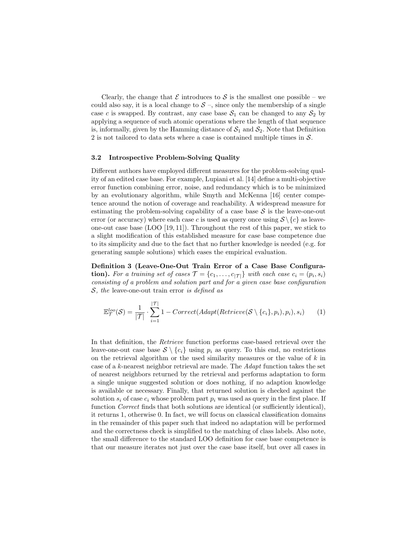Clearly, the change that  $\mathcal E$  introduces to  $\mathcal S$  is the smallest one possible – we could also say, it is a local change to  $S$  –, since only the membership of a single case c is swapped. By contrast, any case base  $S_1$  can be changed to any  $S_2$  by applying a sequence of such atomic operations where the length of that sequence is, informally, given by the Hamming distance of  $S_1$  and  $S_2$ . Note that Definition 2 is not tailored to data sets where a case is contained multiple times in  $S$ .

#### 3.2 Introspective Problem-Solving Quality

Different authors have employed different measures for the problem-solving quality of an edited case base. For example, Lupiani et al. [14] define a multi-objective error function combining error, noise, and redundancy which is to be minimized by an evolutionary algorithm, while Smyth and McKenna [16] center competence around the notion of coverage and reachability. A widespread measure for estimating the problem-solving capability of a case base  $S$  is the leave-one-out error (or accuracy) where each case c is used as query once using  $S \setminus \{c\}$  as leaveone-out case base (LOO [19, 11]). Throughout the rest of this paper, we stick to a slight modification of this established measure for case base competence due to its simplicity and due to the fact that no further knowledge is needed (e.g. for generating sample solutions) which eases the empirical evaluation.

Definition 3 (Leave-One-Out Train Error of a Case Base Configura**tion).** For a training set of cases  $\mathcal{T} = \{c_1, \ldots, c_{|\mathcal{T}|}\}\$  with each case  $c_i = (p_i, s_i)$ consisting of a problem and solution part and for a given case base configuration S, the leave-one-out train error is defined as

$$
\mathbb{E}_{\mathcal{T}}^{loo}(\mathcal{S}) = \frac{1}{|\mathcal{T}|} \cdot \sum_{i=1}^{|\mathcal{T}|} 1 - Correct(Adapt(Retricve(\mathcal{S} \setminus \{c_i\}, p_i), p_i), s_i)
$$
 (1)

In that definition, the Retrieve function performs case-based retrieval over the leave-one-out case base  $S \setminus \{c_i\}$  using  $p_i$  as query. To this end, no restrictions on the retrieval algorithm or the used similarity measures or the value of  $k$  in case of a k-nearest neighbor retrieval are made. The Adapt function takes the set of nearest neighbors returned by the retrieval and performs adaptation to form a single unique suggested solution or does nothing, if no adaption knowledge is available or necessary. Finally, that returned solution is checked against the solution  $s_i$  of case  $c_i$  whose problem part  $p_i$  was used as query in the first place. If function Correct finds that both solutions are identical (or sufficiently identical), it returns 1, otherwise 0. In fact, we will focus on classical classification domains in the remainder of this paper such that indeed no adaptation will be performed and the correctness check is simplified to the matching of class labels. Also note, the small difference to the standard LOO definition for case base competence is that our measure iterates not just over the case base itself, but over all cases in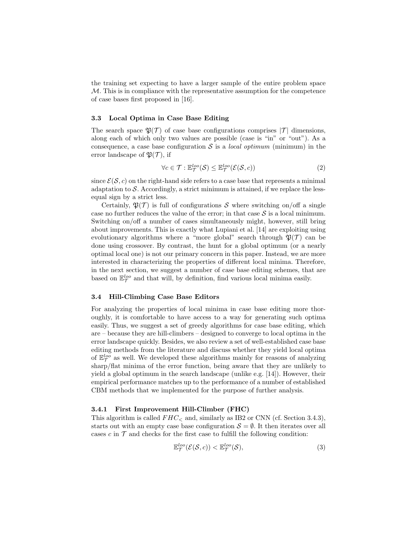the training set expecting to have a larger sample of the entire problem space  $M$ . This is in compliance with the representative assumption for the competence of case bases first proposed in [16].

#### 3.3 Local Optima in Case Base Editing

The search space  $\mathfrak{P}(\mathcal{T})$  of case base configurations comprises  $|\mathcal{T}|$  dimensions, along each of which only two values are possible (case is "in" or "out"). As a consequence, a case base configuration S is a *local optimum* (minimum) in the error landscape of  $\mathfrak{B}(\mathcal{T})$ , if

$$
\forall c \in \mathcal{T} : \mathbb{E}_{\mathcal{T}}^{loo}(\mathcal{S}) \leq \mathbb{E}_{\mathcal{T}}^{loo}(\mathcal{E}(\mathcal{S}, c))
$$
\n(2)

since  $\mathcal{E}(\mathcal{S}, c)$  on the right-hand side refers to a case base that represents a minimal adaptation to  $S$ . Accordingly, a strict minimum is attained, if we replace the lessequal sign by a strict less.

Certainly,  $\mathfrak{P}(\mathcal{T})$  is full of configurations S where switching on/off a single case no further reduces the value of the error; in that case  $S$  is a local minimum. Switching on/off a number of cases simultaneously might, however, still bring about improvements. This is exactly what Lupiani et al. [14] are exploiting using evolutionary algorithms where a "more global" search through  $\mathfrak{P}(\mathcal{T})$  can be done using crossover. By contrast, the hunt for a global optimum (or a nearly optimal local one) is not our primary concern in this paper. Instead, we are more interested in characterizing the properties of different local minima. Therefore, in the next section, we suggest a number of case base editing schemes, that are based on  $\mathbb{E}_{\mathcal{T}}^{loo}$  and that will, by definition, find various local minima easily.

#### 3.4 Hill-Climbing Case Base Editors

For analyzing the properties of local minima in case base editing more thoroughly, it is comfortable to have access to a way for generating such optima easily. Thus, we suggest a set of greedy algorithms for case base editing, which are – because they are hill-climbers – designed to converge to local optima in the error landscape quickly. Besides, we also review a set of well-established case base editing methods from the literature and discuss whether they yield local optima of  $\mathbb{E}_{\mathcal{T}}^{loo}$  as well. We developed these algorithms mainly for reasons of analyzing sharp/flat minima of the error function, being aware that they are unlikely to yield a global optimum in the search landscape (unlike e.g. [14]). However, their empirical performance matches up to the performance of a number of established CBM methods that we implemented for the purpose of further analysis.

# 3.4.1 First Improvement Hill-Climber (FHC)

This algorithm is called  $FHC<sub>5</sub>$  and, similarly as IB2 or CNN (cf. Section 3.4.3), starts out with an empty case base configuration  $S = \emptyset$ . It then iterates over all cases c in  $\mathcal T$  and checks for the first case to fulfill the following condition:

$$
\mathbb{E}_{\mathcal{T}}^{loo}(\mathcal{E}(\mathcal{S}, c)) < \mathbb{E}_{\mathcal{T}}^{loo}(\mathcal{S}),\tag{3}
$$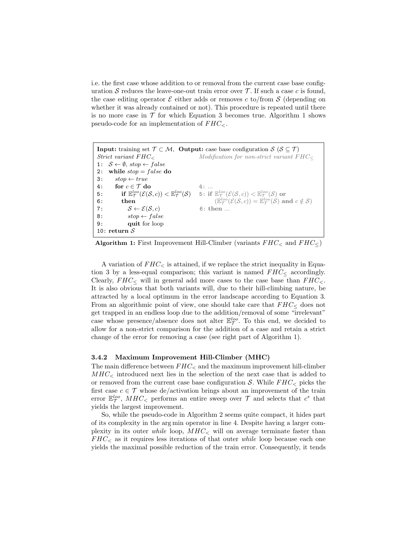i.e. the first case whose addition to or removal from the current case base configuration S reduces the leave-one-out train error over  $\mathcal T$ . If such a case c is found, the case editing operator  $\mathcal E$  either adds or removes c to/from  $\mathcal S$  (depending on whether it was already contained or not). This procedure is repeated until there is no more case in  $\mathcal T$  for which Equation 3 becomes true. Algorithm 1 shows pseudo-code for an implementation of  $FHC_{<}$ .

**Input:** training set  $\mathcal{T} \subset \mathcal{M}$ , **Output:** case base configuration  $\mathcal{S}$  ( $\mathcal{S} \subset \mathcal{T}$ )  $Strict variant  $FHC_{\leq}$  *Modification for non-strict variant  $FHC_{\leq}$*$ 1:  $S \leftarrow \emptyset$ , stop  $\leftarrow false$ 2: while  $stop = false$  do 3:  $stop \leftarrow true$ 4: for  $c \in \mathcal{T}$  do 4: ...  ${\bf 5}: \qquad \quad \text{if} \ \, \mathbb{E}^{loo}_{\mathcal T}(\mathcal{E}(\mathcal{S},c)) < \mathbb{E}^{loo}_{\mathcal T}(\mathcal{S}) \quad \text{ } 5: \text{ if} \ \, \mathbb{E}^{loo}_{\mathcal T}(\mathcal{E}(\mathcal{S},c)) < \mathbb{E}^{loo}_{\mathcal T}(\mathcal{S}) \text{ or}$ 6: then  $(\mathbb{E}_{\mathcal{T}}^{loo}(\mathcal{E}(\mathcal{S}, c)) = \mathbb{E}_{\mathcal{T}}^{loo}(\mathcal{S})$  and  $c \notin \mathcal{S})$ 7:  $S \leftarrow \mathcal{E}(\mathcal{S}, c)$  6: then ... 8:  $stop \leftarrow false$ 9: quit for loop 10: return  $S$ 

Algorithm 1: First Improvement Hill-Climber (variants  $FHC<sub>5</sub>$  and  $FHC<sub>5</sub>$ )

A variation of  $FHC<sub>0</sub>$  is attained, if we replace the strict inequality in Equation 3 by a less-equal comparison; this variant is named  $FHC<sub>0</sub>$  accordingly. Clearly,  $FHC<sub>5</sub>$  will in general add more cases to the case base than  $FHC<sub>5</sub>$ . It is also obvious that both variants will, due to their hill-climbing nature, be attracted by a local optimum in the error landscape according to Equation 3. From an algorithmic point of view, one should take care that  $FHC<sub>0</sub>$  does not get trapped in an endless loop due to the addition/removal of some "irrelevant" case whose presence/absence does not alter  $\mathbb{E}_{\mathcal{T}}^{loo}$ . To this end, we decided to allow for a non-strict comparison for the addition of a case and retain a strict change of the error for removing a case (see right part of Algorithm 1).

#### 3.4.2 Maximum Improvement Hill-Climber (MHC)

The main difference between  $FHC<sub>5</sub>$  and the maximum improvement hill-climber  $MHC<sub>5</sub>$  introduced next lies in the selection of the next case that is added to or removed from the current case base configuration S. While  $FHC<sub>5</sub>$  picks the first case  $c \in \mathcal{T}$  whose de/activation brings about an improvement of the train error  $\mathbb{E}_{\mathcal{T}}^{loo}$ ,  $MHC_{\leq}$  performs an entire sweep over  $\mathcal{T}$  and selects that  $c^*$  that yields the largest improvement.

So, while the pseudo-code in Algorithm 2 seems quite compact, it hides part of its complexity in the arg min operator in line 4. Despite having a larger complexity in its outer while loop,  $MHC<sub>z</sub>$  will on average terminate faster than  $FHC<sub><</sub>$  as it requires less iterations of that outer while loop because each one yields the maximal possible reduction of the train error. Consequently, it tends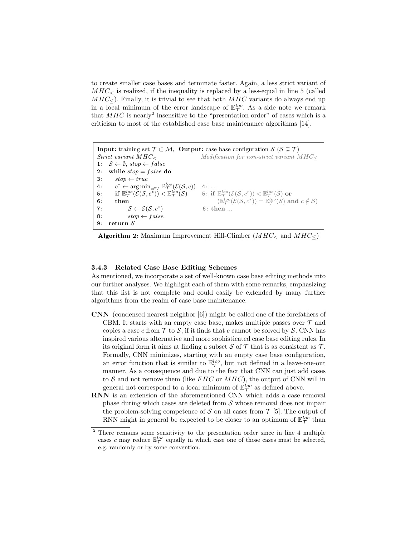to create smaller case bases and terminate faster. Again, a less strict variant of  $MHC<sub>5</sub>$  is realized, if the inequality is replaced by a less-equal in line 5 (called  $MHC<sub>5</sub>$ . Finally, it is trivial to see that both  $MHC$  variants do always end up in a local minimum of the error landscape of  $\mathbb{E}_{\mathcal{T}}^{loo}$ . As a side note we remark that  $MHC$  is nearly<sup>2</sup> insensitive to the "presentation order" of cases which is a criticism to most of the established case base maintenance algorithms [14].

**Input:** training set  $\mathcal{T} \subset \mathcal{M}$ , **Output:** case base configuration  $\mathcal{S}$  ( $\mathcal{S} \subseteq \mathcal{T}$ )  $Strict variant MHC<sub>5</sub>$  Modification for non-strict variant  $MHC<sub>5</sub>$ 1:  $S \leftarrow \emptyset$ , stop  $\leftarrow false$ 2: while  $stop = false$  do  $3: stop \leftarrow true$  $4:$ \*  $\leftarrow \arg\min_{c \in \mathcal{T}} \mathbb{E}_{\mathcal{T}}^{loc}(\mathcal{E}(\mathcal{S}, c))$  4: ... 5: if  $\mathbb{E}^{loo}_{\mathcal{T}}(\mathcal{E}(\mathcal{S}, c^*)) < \mathbb{E}^{loo}_{\mathcal{T}}$  $\frac{loo}{\mathcal{T}}(\mathcal{S}) \qquad \text{5: if } \mathbb{E}_{\mathcal{T}}^{loo}(\mathcal{E}(\mathcal{S},c^*)) < \mathbb{E}_{\mathcal{T}}^{loo}(\mathcal{S}) \textbf{ or }$ 6: then  $(\mathbb{E})$  $\mathcal{L}^{loo}_{\mathcal{T}}(\mathcal{E}(\mathcal{S},c^*)) = \mathbb{E}^{loo}_{\mathcal{T}}(\mathcal{S})$  and  $c \notin \mathcal{S}$ ) 7:  $S \leftarrow \mathcal{E}(\mathcal{S}, c^*)$ ) 6: then ... 8:  $stop \leftarrow false$ 9: return S

Algorithm 2: Maximum Improvement Hill-Climber  $(MHC<sub>5</sub>)$  and  $MHC<sub>5</sub>$ )

### 3.4.3 Related Case Base Editing Schemes

As mentioned, we incorporate a set of well-known case base editing methods into our further analyses. We highlight each of them with some remarks, emphasizing that this list is not complete and could easily be extended by many further algorithms from the realm of case base maintenance.

- CNN (condensed nearest neighbor [6]) might be called one of the forefathers of CBM. It starts with an empty case base, makes multiple passes over  $\mathcal T$  and copies a case c from  $\mathcal T$  to  $\mathcal S$ , if it finds that c cannot be solved by  $\mathcal S$ . CNN has inspired various alternative and more sophisticated case base editing rules. In its original form it aims at finding a subset  $S$  of  $T$  that is as consistent as  $T$ . Formally, CNN minimizes, starting with an empty case base configuration, an error function that is similar to  $\mathbb{E}_{\mathcal{T}}^{loo}$ , but not defined in a leave-one-out manner. As a consequence and due to the fact that CNN can just add cases to  $S$  and not remove them (like  $FHC$  or  $MHC$ ), the output of CNN will in general not correspond to a local minimum of  $\mathbb{E}_{\mathcal{T}}^{loo}$  as defined above.
- RNN is an extension of the aforementioned CNN which adds a case removal phase during which cases are deleted from  $\mathcal S$  whose removal does not impair the problem-solving competence of S on all cases from  $\mathcal{T}$  [5]. The output of RNN might in general be expected to be closer to an optimum of  $\mathbb{E}_{\mathcal{T}}^{loo}$  than

<sup>2</sup> There remains some sensitivity to the presentation order since in line 4 multiple cases c may reduce  $\mathbb{E}_{\mathcal{T}}^{loo}$  equally in which case one of those cases must be selected, e.g. randomly or by some convention.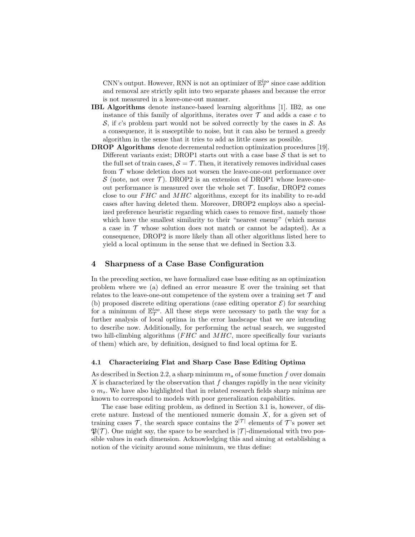CNN's output. However, RNN is not an optimizer of  $\mathbb{E}_{\mathcal{T}}^{loo}$  since case addition and removal are strictly split into two separate phases and because the error is not measured in a leave-one-out manner.

- IBL Algorithms denote instance-based learning algorithms [1]. IB2, as one instance of this family of algorithms, iterates over  $\mathcal T$  and adds a case c to  $\mathcal{S}$ , if c's problem part would not be solved correctly by the cases in  $\mathcal{S}$ . As a consequence, it is susceptible to noise, but it can also be termed a greedy algorithm in the sense that it tries to add as little cases as possible.
- DROP Algorithms denote decremental reduction optimization procedures [19]. Different variants exist; DROP1 starts out with a case base  $S$  that is set to the full set of train cases,  $S = \mathcal{T}$ . Then, it iteratively removes individual cases from  $\mathcal T$  whose deletion does not worsen the leave-one-out performance over S (note, not over  $\mathcal T$ ). DROP2 is an extension of DROP1 whose leave-oneout performance is measured over the whole set  $\mathcal T$ . Insofar, DROP2 comes close to our  $FHC$  and  $MHC$  algorithms, except for its inability to re-add cases after having deleted them. Moreover, DROP2 employs also a specialized preference heuristic regarding which cases to remove first, namely those which have the smallest similarity to their "nearest enemy" (which means a case in  $\mathcal T$  whose solution does not match or cannot be adapted). As a consequence, DROP2 is more likely than all other algorithms listed here to yield a local optimum in the sense that we defined in Section 3.3.

#### 4 Sharpness of a Case Base Configuration

In the preceding section, we have formalized case base editing as an optimization problem where we (a) defined an error measure E over the training set that relates to the leave-one-out competence of the system over a training set  $\mathcal T$  and (b) proposed discrete editing operations (case editing operator  $\mathcal{E}$ ) for searching for a minimum of  $\mathbb{E}_{\mathcal{T}}^{loo}$ . All these steps were necessary to path the way for a further analysis of local optima in the error landscape that we are intending to describe now. Additionally, for performing the actual search, we suggested two hill-climbing algorithms  $(FHC)$  and  $MHC$ , more specifically four variants of them) which are, by definition, designed to find local optima for E.

#### 4.1 Characterizing Flat and Sharp Case Base Editing Optima

As described in Section 2.2, a sharp minimum  $m_s$  of some function f over domain X is characterized by the observation that  $f$  changes rapidly in the near vicinity  $\sigma$  m<sub>s</sub>. We have also highlighted that in related research fields sharp minima are known to correspond to models with poor generalization capabilities.

The case base editing problem, as defined in Section 3.1 is, however, of discrete nature. Instead of the mentioned numeric domain  $X$ , for a given set of training cases  $\mathcal{T}$ , the search space contains the  $2^{|\mathcal{T}|}$  elements of  $\mathcal{T}$ 's power set  $\mathfrak{P}(\mathcal{T})$ . One might say, the space to be searched is  $|\mathcal{T}|$ -dimensional with two possible values in each dimension. Acknowledging this and aiming at establishing a notion of the vicinity around some minimum, we thus define: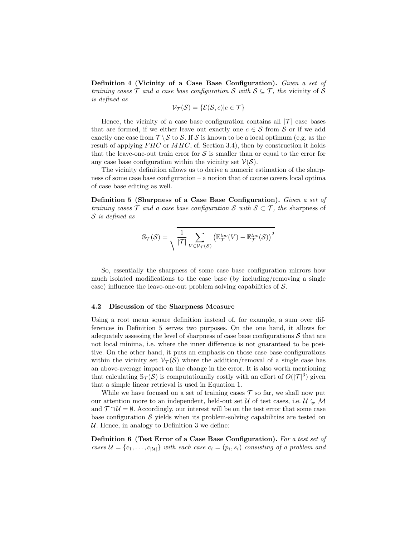Definition 4 (Vicinity of a Case Base Configuration). Given a set of training cases  $\mathcal T$  and a case base configuration  $\mathcal S$  with  $\mathcal S \subseteq \mathcal T$ , the vicinity of  $\mathcal S$ is defined as

$$
\mathcal{V}_{\mathcal{T}}(\mathcal{S}) = \{\mathcal{E}(\mathcal{S}, c)|c \in \mathcal{T}\}\
$$

Hence, the vicinity of a case base configuration contains all  $|\mathcal{T}|$  case bases that are formed, if we either leave out exactly one  $c \in \mathcal{S}$  from  $\mathcal{S}$  or if we add exactly one case from  $\mathcal{T} \backslash \mathcal{S}$  to S. If S is known to be a local optimum (e.g. as the result of applying  $FHC$  or  $MHC$ , cf. Section 3.4), then by construction it holds that the leave-one-out train error for  $\mathcal S$  is smaller than or equal to the error for any case base configuration within the vicinity set  $V(S)$ .

The vicinity definition allows us to derive a numeric estimation of the sharpness of some case base configuration – a notion that of course covers local optima of case base editing as well.

Definition 5 (Sharpness of a Case Base Configuration). Given a set of training cases  $\mathcal T$  and a case base configuration S with  $\mathcal S \subset \mathcal T$ , the sharpness of S is defined as

$$
\mathbb{S}_{\mathcal{T}}(\mathcal{S}) = \sqrt{\frac{1}{|\mathcal{T}|} \sum_{V \in \mathcal{V}_{\mathcal{T}}(\mathcal{S})} (\mathbb{E}_{\mathcal{T}}^{loc}(V) - \mathbb{E}_{\mathcal{T}}^{loc}(\mathcal{S}))^2}
$$

So, essentially the sharpness of some case base configuration mirrors how much isolated modifications to the case base (by including/removing a single case) influence the leave-one-out problem solving capabilities of  $S$ .

#### 4.2 Discussion of the Sharpness Measure

Using a root mean square definition instead of, for example, a sum over differences in Definition 5 serves two purposes. On the one hand, it allows for adequately assessing the level of sharpness of case base configurations  $\mathcal S$  that are not local minima, i.e. where the inner difference is not guaranteed to be positive. On the other hand, it puts an emphasis on those case base configurations within the vicinity set  $V_\mathcal{T}(\mathcal{S})$  where the addition/removal of a single case has an above-average impact on the change in the error. It is also worth mentioning that calculating  $\mathbb{S}_{\mathcal{T}}(\mathcal{S})$  is computationally costly with an effort of  $O(|\mathcal{T}|^3)$  given that a simple linear retrieval is used in Equation 1.

While we have focused on a set of training cases  $\mathcal T$  so far, we shall now put our attention more to an independent, held-out set  $\mathcal U$  of test cases, i.e.  $\mathcal U \subsetneq \mathcal M$ and  $T \cap U = \emptyset$ . Accordingly, our interest will be on the test error that some case base configuration  $S$  yields when its problem-solving capabilities are tested on U. Hence, in analogy to Definition 3 we define:

Definition 6 (Test Error of a Case Base Configuration). For a test set of cases  $\mathcal{U} = \{c_1, \ldots, c_{|\mathcal{U}|}\}\$  with each case  $c_i = (p_i, s_i)$  consisting of a problem and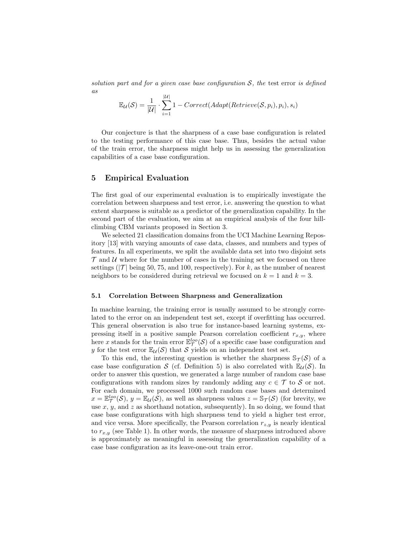solution part and for a given case base configuration  $S$ , the test error is defined as |<br>|-<br>|-

$$
\mathbb{E}_{\mathcal{U}}(\mathcal{S}) = \frac{1}{|\mathcal{U}|} \cdot \sum_{i=1}^{|\mathcal{U}|} 1 - Correct(Adapt(Retricve(\mathcal{S}, p_i), p_i), s_i)
$$

Our conjecture is that the sharpness of a case base configuration is related to the testing performance of this case base. Thus, besides the actual value of the train error, the sharpness might help us in assessing the generalization capabilities of a case base configuration.

# 5 Empirical Evaluation

The first goal of our experimental evaluation is to empirically investigate the correlation between sharpness and test error, i.e. answering the question to what extent sharpness is suitable as a predictor of the generalization capability. In the second part of the evaluation, we aim at an empirical analysis of the four hillclimbing CBM variants proposed in Section 3.

We selected 21 classification domains from the UCI Machine Learning Repository [13] with varying amounts of case data, classes, and numbers and types of features. In all experiments, we split the available data set into two disjoint sets  $\mathcal T$  and  $\mathcal U$  where for the number of cases in the training set we focused on three settings ( $|\mathcal{T}|$  being 50, 75, and 100, respectively). For k, as the number of nearest neighbors to be considered during retrieval we focused on  $k = 1$  and  $k = 3$ .

#### 5.1 Correlation Between Sharpness and Generalization

In machine learning, the training error is usually assumed to be strongly correlated to the error on an independent test set, except if overfitting has occurred. This general observation is also true for instance-based learning systems, expressing itself in a positive sample Pearson correlation coefficient  $r_{x,y}$ , where here x stands for the train error  $\mathbb{E}_{\mathcal{T}}^{loo}(\mathcal{S})$  of a specific case base configuration and y for the test error  $\mathbb{E}_{\mathcal{U}}(\mathcal{S})$  that S yields on an independent test set.

To this end, the interesting question is whether the sharpness  $\mathcal{S}_{\mathcal{T}}(\mathcal{S})$  of a case base configuration S (cf. Definition 5) is also correlated with  $\mathbb{E}_{\mathcal{U}}(S)$ . In order to answer this question, we generated a large number of random case base configurations with random sizes by randomly adding any  $c \in \mathcal{T}$  to S or not. For each domain, we processed 1000 such random case bases and determined  $x = \mathbb{E}_{\mathcal{T}}^{loo}(\mathcal{S}), y = \mathbb{E}_{\mathcal{U}}(\mathcal{S})$ , as well as sharpness values  $z = \mathbb{S}_{\mathcal{T}}(\mathcal{S})$  (for brevity, we use  $x, y$ , and z as shorthand notation, subsequently). In so doing, we found that case base configurations with high sharpness tend to yield a higher test error, and vice versa. More specifically, the Pearson correlation  $r_{z,y}$  is nearly identical to  $r_{x,y}$  (see Table 1). In other words, the measure of sharpness introduced above is approximately as meaningful in assessing the generalization capability of a case base configuration as its leave-one-out train error.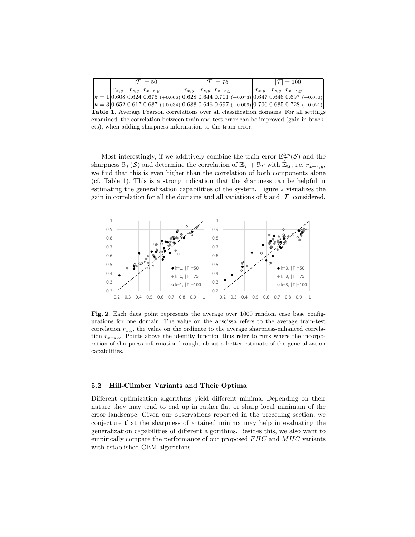|  |  | $ \mathcal{T} =50$              |  | $ \mathcal{T} =75$              |                                                                                                                 | $ \mathcal{T} =100$ |  |                                 |  |  |  |
|--|--|---------------------------------|--|---------------------------------|-----------------------------------------------------------------------------------------------------------------|---------------------|--|---------------------------------|--|--|--|
|  |  | $r_{x,y}$ $r_{z,y}$ $r_{x+z,y}$ |  | $r_{x,y}$ $r_{z,y}$ $r_{x+z,y}$ |                                                                                                                 |                     |  | $r_{x,y}$ $r_{z,y}$ $r_{x+z,y}$ |  |  |  |
|  |  |                                 |  |                                 | $ k=1 0.608\;0.624\;0.675\;(+0.066) 0.628\;0.644\;0.701\;(+0.073) 0.647\;0.646\;0.697\;(+0.050)$                |                     |  |                                 |  |  |  |
|  |  |                                 |  |                                 | $ k=3 0.652\;0.617\;0.687\;(+0.034) 0.688\;0.646\;0.697\;(+0.009) 0.706\;0.685\;0.728\;(+0.021) 0.685\;0.728\;$ |                     |  |                                 |  |  |  |

Table 1. Average Pearson correlations over all classification domains. For all settings examined, the correlation between train and test error can be improved (gain in brackets), when adding sharpness information to the train error.

Most interestingly, if we additively combine the train error  $\mathbb{E}_{\mathcal{T}}^{loo}(\mathcal{S})$  and the sharpness  $\mathbb{S}_{\mathcal{T}}(\mathcal{S})$  and determine the correlation of  $\mathbb{E}_{\mathcal{T}} + \mathbb{S}_{\mathcal{T}}$  with  $\mathbb{E}_{\mathcal{U}}$ , i.e.  $r_{x+z,y}$ , we find that this is even higher than the correlation of both components alone (cf. Table 1). This is a strong indication that the sharpness can be helpful in estimating the generalization capabilities of the system. Figure 2 visualizes the gain in correlation for all the domains and all variations of k and  $|\mathcal{T}|$  considered.



Fig. 2. Each data point represents the average over 1000 random case base configurations for one domain. The value on the abscissa refers to the average train-test correlation  $r_{x,y}$ , the value on the ordinate to the average sharpness-enhanced correlation  $r_{x+z,y}$ . Points above the identity function thus refer to runs where the incorporation of sharpness information brought about a better estimate of the generalization capabilities.

#### 5.2 Hill-Climber Variants and Their Optima

Different optimization algorithms yield different minima. Depending on their nature they may tend to end up in rather flat or sharp local minimum of the error landscape. Given our observations reported in the preceding section, we conjecture that the sharpness of attained minima may help in evaluating the generalization capabilities of different algorithms. Besides this, we also want to empirically compare the performance of our proposed  $FHC$  and  $MHC$  variants with established CBM algorithms.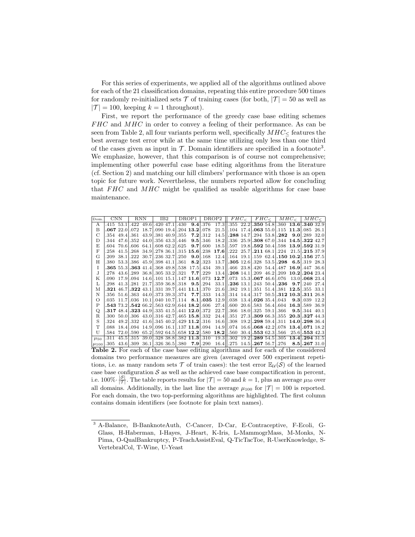For this series of experiments, we applied all of the algorithms outlined above for each of the 21 classification domains, repeating this entire procedure 500 times for randomly re-initialized sets  $\mathcal T$  of training cases (for both,  $|\mathcal T| = 50$  as well as  $|\mathcal{T}| = 100$ , keeping  $k = 1$  throughout).

First, we report the performance of the greedy case base editing schemes  $FHC$  and  $MHC$  in order to convey a feeling of their performance. As can be seen from Table 2, all four variants perform well, specifically  $MHC_{\leq}$  features the best average test error while at the same time utilizing only less than one third of the cases given as input in  $\mathcal{T}$ . Domain identifiers are specified in a footnote<sup>3</sup>. We emphasize, however, that this comparison is of course not comprehensive; implementing other powerful case base editing algorithms from the literature (cf. Section 2) and matching our hill climbers' performance with those is an open topic for future work. Nevertheless, the numbers reported allow for concluding that  $FHC$  and  $MHC$  might be qualified as usable algorithms for case base maintenance.

| Dom.          | $_{\rm CNN}$ |             | RNN                              |                        | IB2 |                    |  |                                                       | DROP1   DROP2 $\parallel$ FHC <sub><math>\lt</math></sub>   FHC <sub><math>\lt</math></sub>   MHC <sub><math>\lt</math></sub> |                                                                                                                                    |                                                              |  |                                |  |                                                   |               | $MHC_{\leq}$      |  |
|---------------|--------------|-------------|----------------------------------|------------------------|-----|--------------------|--|-------------------------------------------------------|-------------------------------------------------------------------------------------------------------------------------------|------------------------------------------------------------------------------------------------------------------------------------|--------------------------------------------------------------|--|--------------------------------|--|---------------------------------------------------|---------------|-------------------|--|
| A             | $.415$ 53.1  |             |                                  | .422 49.6              |     | $.420$ 47.1        |  |                                                       |                                                                                                                               | $.430$ <b>9.4</b>   $.376$ 17.3    $.355$ 22.2   <b>.350</b> 54.8   $.360$ <b>13.6</b>   <b>.340</b> 32.9                          |                                                              |  |                                |  |                                                   |               |                   |  |
| B             |              | .06722.0    |                                  | .072 18.7              |     |                    |  | .090 19.4.204 13.2.078                                |                                                                                                                               |                                                                                                                                    | 21.5 . 104 17.4 . 063 55.0 . 115 11.3 . 085 26.1             |  |                                |  |                                                   |               |                   |  |
| $\mathcal{C}$ |              | $.354$ 49.4 |                                  | .361 43.9.381 40.9.355 |     |                    |  |                                                       | $7.2$ .312                                                                                                                    |                                                                                                                                    | 14.5\ \, 288 14.7\, 294 53.8\, 282 9.0\, 289 32.0            |  |                                |  |                                                   |               |                   |  |
| D             | .344         |             | 47.6.352 44.0                    |                        |     | .356 43.3 .446     |  |                                                       | $9.5 \, \dot{.} \, 346$                                                                                                       | 18.2                                                                                                                               |                                                              |  |                                |  | .336 25.9.308 67.0.344 14.5.322 42.7              |               |                   |  |
| E             | .604         | 70.6        |                                  | .606 64.1              |     | .608 62.2 625      |  |                                                       | $9.7$ .600                                                                                                                    |                                                                                                                                    | 18.5     .597                                                |  |                                |  | 19.8.592 50.4.598 13.9.592 31.9                   |               |                   |  |
| F             | .258         | 41.5        |                                  | .268 34.9              |     |                    |  | .278 36.1 .315 15.6 .238                              |                                                                                                                               | 17.6 .222 25.7 .211 68.1 .224 21.5 .215 37.9                                                                                       |                                                              |  |                                |  |                                                   |               |                   |  |
| G             | .209         | 38.1        | $1.222 \, 30.7$                  |                        |     | $.236$ 32.7 $.250$ |  |                                                       | $9.0$   .168                                                                                                                  |                                                                                                                                    | $12.4$   .164 19.1 .159 62.4 .150 10.2 .156 27.5             |  |                                |  |                                                   |               |                   |  |
| Η             | .380-        |             | 53.3.386 45.9.398 41.1.361       |                        |     |                    |  |                                                       | $8.2$ .323                                                                                                                    |                                                                                                                                    | 13.7 $\vert 3.305 \ 12.6 \vert .328 \ 53.5 \vert .298 \vert$ |  |                                |  |                                                   |               | 6.5.319 28.3      |  |
| T             |              |             |                                  |                        |     |                    |  | <b>365</b> 55.3 <b>363</b> 41.4 368 49.8 538 17.5 434 |                                                                                                                               | 39.1                                                                                                                               |                                                              |  |                                |  | .466 23.8 420 54.4 487 16.9 447 36.6              |               |                   |  |
| J             | .278         |             |                                  |                        |     |                    |  | $43.6$ , 289 $36.8$ , 305 $33.2$ , 321 $7.7$ , 229    |                                                                                                                               | $13.4$   .208 14.1 .209 46.2 .209 10.2 .204 23.4                                                                                   |                                                              |  |                                |  |                                                   |               |                   |  |
| Κ             | .090         |             | 17.9.094                         |                        |     |                    |  | 14.6.101 15.1.147 11.6.073                            |                                                                                                                               | 12.7. 073 15.3. 067 46.6. 076                                                                                                      |                                                              |  |                                |  |                                                   |               | $13.0$ .068 23.4  |  |
| L             | .298         |             | 41.3.281 21.7                    |                        |     |                    |  | $.35936.8$ .318 <b>9.5</b> .294                       |                                                                                                                               | 33.1                                                                                                                               |                                                              |  |                                |  | $.236$ 13.1, 243 50.4, 236                        |               | $9.7$ . 240 27.4  |  |
| М             |              |             | $.321 \; 46.7 \cdot 322 \; 43.1$ |                        |     |                    |  | $.331$ 39.7.441 <b>11.1</b> .370                      |                                                                                                                               | 21.6                                                                                                                               |                                                              |  |                                |  | $.382$ 19.1, 351 51.4, 381 <b>12.5</b> , 355 33.1 |               |                   |  |
| N             |              |             |                                  |                        |     |                    |  | .356 51.6.363 44.0.373 39.3.374 7.7.333               |                                                                                                                               |                                                                                                                                    | 14.3 . 314 14.4 . 317 50.5 . 312 10.3 . 311 26.8             |  |                                |  |                                                   |               |                   |  |
| $\Omega$      |              |             |                                  |                        |     |                    |  | 035 11.7.036 10.1.040 10.7.114 8.1.035                |                                                                                                                               |                                                                                                                                    | $12.9$   .038 13.4 .026 35.4 .043                            |  |                                |  |                                                   |               | 9.3.039 12.2      |  |
| P             |              |             |                                  |                        |     |                    |  | .543 73.2, 542 66.2, 563 62.9, 644 18.2, 606          |                                                                                                                               | 27.4                                                                                                                               |                                                              |  |                                |  | .600 20.6.583 56.4.604 16.3.589 36.9              |               |                   |  |
| Q             |              |             |                                  |                        |     |                    |  | .317 48.4, 323 44.9, 335 41.5, 441 12.0, 372          |                                                                                                                               | 22.7                                                                                                                               |                                                              |  | $.366$ 18.0 $.325$ 59.1 $.366$ |  |                                                   |               | $9.5$ , 344 40.1  |  |
| R             |              |             |                                  |                        |     |                    |  | .300 50.0.306 43.0.316 42.7.465 15.8.332              |                                                                                                                               |                                                                                                                                    | 24.4\ \.351 27.3\.309 66.3\.355 20.3\.327 44.3               |  |                                |  |                                                   |               |                   |  |
| S             | .324         |             |                                  |                        |     |                    |  | 49.2.332 41.6.345 40.2.429 11.2.316                   |                                                                                                                               |                                                                                                                                    | 16.6 308 19.2 298 59.4 311 14.0 298 36.4                     |  |                                |  |                                                   |               |                   |  |
| T             |              |             |                                  |                        |     |                    |  | 088 18.4.094 14.9.096 16.1.137 11.8.094               |                                                                                                                               | $14.9$   .074 16.6  <b>.068</b> 42.2 .078 <b>13.4 .071</b> 18.2                                                                    |                                                              |  |                                |  |                                                   |               |                   |  |
| U             |              |             |                                  |                        |     |                    |  |                                                       |                                                                                                                               | .584 72.0.590 65.2.592 64.5.658 12.2.580 18.2.560 30.4.553 62.3.566                                                                |                                                              |  |                                |  |                                                   |               | $25.6$ , 553 42.3 |  |
| $\mu_{50}$    | .311         | 45.5        |                                  | .315 39.0              |     |                    |  | $.328$ 38.8 $.382$ 11.3 $.310$                        |                                                                                                                               |                                                                                                                                    | $19.3$ .302                                                  |  | 19.2.289 54.5.305              |  |                                                   | 13.4.294 31.5 |                   |  |
| $\mu_{100}$   |              |             |                                  |                        |     |                    |  |                                                       |                                                                                                                               | $.305\,43.6$ , $.309\,36.1$ , $.326\,36.5$ , $.380\,7.9$ , $.290\,16.4$ , $.275\,14.5$ , $.267\,56.7$ , $.276\,8.5$ , $.267\,31.0$ |                                                              |  |                                |  |                                                   |               |                   |  |

Table 2. For each of the case base editing algorithms and for each of the considered domains two performance measures are given (averaged over 500 experiment repetitions, i.e. as many random sets  $\mathcal T$  of train cases): the test error  $\mathbb{E}_{\mathcal{U}}(\mathcal{S})$  of the learned case base configuration  $S$  as well as the achieved case base compactification in percent, i.e. 100% $\cdot \frac{|S|}{|T|}$ . The table reports results for  $|T| = 50$  and  $k = 1$ , plus an average  $\mu_{50}$  over all domains. Additionally, in the last line the average  $\mu_{100}$  for  $|\mathcal{T}| = 100$  is reported. For each domain, the two top-performing algorithms are highlighted. The first column contains domain identifiers (see footnote for plain text names).

<sup>3</sup> A-Balance, B-BanknoteAuth, C-Cancer, D-Car, E-Contraceptive, F-Ecoli, G-Glass, H-Haberman, I-Hayes, J-Heart, K-Iris, L-MammogrMass, M-Monks, N-Pima, O-QualBankruptcy, P-TeachAssistEval, Q-TicTacToe, R-UserKnowledge, S-VertebralCol, T-Wine, U-Yeast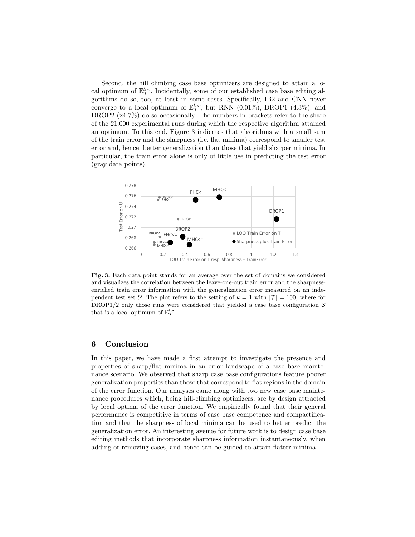Second, the hill climbing case base optimizers are designed to attain a local optimum of  $\mathbb{E}_{\mathcal{T}}^{loo}$ . Incidentally, some of our established case base editing algorithms do so, too, at least in some cases. Specifically, IB2 and CNN never converge to a local optimum of  $\mathbb{E}_{\mathcal{T}}^{loo}$ , but RNN (0.01%), DROP1 (4.3%), and DROP2  $(24.7\%)$  do so occasionally. The numbers in brackets refer to the share of the 21.000 experimental runs during which the respective algorithm attained an optimum. To this end, Figure 3 indicates that algorithms with a small sum of the train error and the sharpness (i.e. flat minima) correspond to smaller test error and, hence, better generalization than those that yield sharper minima. In particular, the train error alone is only of little use in predicting the test error (gray data points).



Fig. 3. Each data point stands for an average over the set of domains we considered and visualizes the correlation between the leave-one-out train error and the sharpnessenriched train error information with the generalization error measured on an independent test set U. The plot refers to the setting of  $k = 1$  with  $|\mathcal{T}| = 100$ , where for DROP1/2 only those runs were considered that yielded a case base configuration  $S$ that is a local optimum of  $\mathbb{E}_{\mathcal{T}}^{loo}$ .

# 6 Conclusion

In this paper, we have made a first attempt to investigate the presence and properties of sharp/flat minima in an error landscape of a case base maintenance scenario. We observed that sharp case base configurations feature poorer generalization properties than those that correspond to flat regions in the domain of the error function. Our analyses came along with two new case base maintenance procedures which, being hill-climbing optimizers, are by design attracted by local optima of the error function. We empirically found that their general performance is competitive in terms of case base competence and compactification and that the sharpness of local minima can be used to better predict the generalization error. An interesting avenue for future work is to design case base editing methods that incorporate sharpness information instantaneously, when adding or removing cases, and hence can be guided to attain flatter minima.